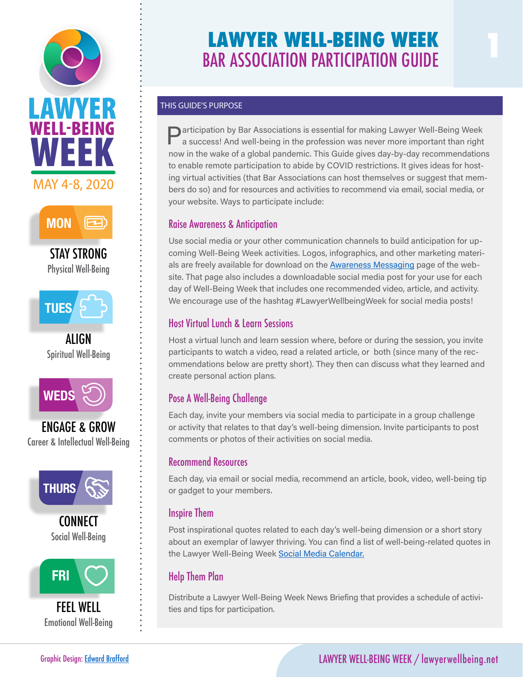



STAY STRONG Physical Well-Being



ALIGN Spiritual Well-Being



ENGAGE & GROW Career & Intellectual Well-Being



**CONNECT** Social Well-Being



FEEL WELL Emotional Well-Being

# **LAWYER WELL-BEING WEEK EXAMPLE BELL-BEING WEEK**<br>BAR ASSOCIATION PARTICIPATION GUIDE

### THIS GUIDE'S PURPOSE

sar Associations can r<br>ces and activities to re<br>ticinate include: your website. Ways to participate include: Participation by Bar Associations is essential for making Lawyer Well-Being Week a success! And well-being in the profession was never more important than right now in the wake of a global pandemic. This Guide gives day-by-day recommendations to enable remote participation to abide by COVID restrictions. It gives ideas for hosting virtual activities (that Bar Associations can host themselves or suggest that members do so) and for resources and activities to recommend via email, social media, or

## Raise Awareness & Anticipation

<mark>Raise Awareness & Anticipation</mark><br>Use social media or your other communication channels to build anticipation for up coming Well-Being Week activities. Logos, infographics, and other marketing materials are freely available for download on the **Awareness Messaging** page of the website. That page also includes a downloadable social media post for your use for each day of Well-Being Week that includes one recommended video, article, and activity. We encourage use of the hashtag #LawyerWellbeingWeek for social media posts!

## Host Virtual Lunch & Learn Sessions

Host a virtual lunch and learn session where, before or during the session, you invite participants to watch a video, read a related article, or both (since many of the recommendations below are pretty short). They then can discuss what they learned and create personal action plans.

## Pose A Well-Being Challenge

Each day, invite your members via social media to participate in a group challenge or activity that relates to that day's well-being dimension. Invite participants to post comments or photos of their activities on social media.

## Recommend Resources

Each day, via email or social media, recommend an article, book, video, well-being tip or gadget to your members.

## Inspire Them

Post inspirational quotes related to each day's well-being dimension or a short story about an exemplar of lawyer thriving. You can find a list of well-being-related quotes in the Lawyer Well-Being Week [Social Media Calendar.](https://lawyerwellbeing.net/wp-content/uploads/2020/02/2020-Well-Being-Week-Social-Media-Calendar.xlsx)

## Help Them Plan

Distribute a Lawyer Well-Being Week News Briefing that provides a schedule of activities and tips for participation.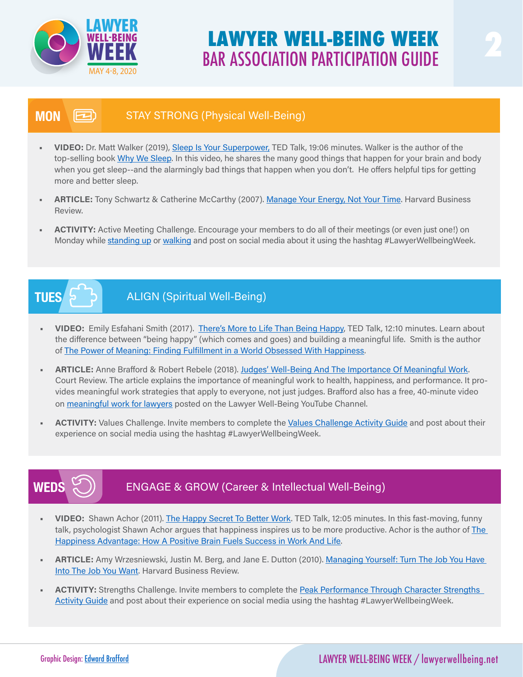

## **LAWYER WELL-BEING WEEK BAR ASSOCIATION PARTICIPATION GUIDE**

#### STAY STRONG (Physical Well-Being) **MON** (2)

- • VIDEO: Dr. Matt Walker (2019), [Sleep Is Your Superpower,](https://www.ted.com/talks/matt_walker_sleep_is_your_superpower#t-353) TED Talk, 19:06 minutes. Walker is the author of the THEO: Dr. Matt walker (2019), Sleep is four Superpower, TED Talk, 19:06 minutes, walker is the author of the<br>top-selling book <u>Why We Sleep</u>. In this video, he shares the many good things that happen for your brain and bod when you get sleep--a<br>more and better sleep. when you get sleep--and the alarmingly bad things that happen when you don't. He offers helpful tips for getting
- ARTICLE: Tony Schwartz & Catherine McCarthy (2007). [Manage Your Energy, Not Your Time](https://hbr.org/2007/10/manage-your-energy-not-your-time?referral=03759&cm_vc=rr_item_page.bottom). Harvard Business Review.
- ACTIVITY: Active Meeting Challenge. Encourage your members to do all of their meetings (or even just one!) on Monday while standing up or walking and post on social media about it using the hashtag #LawyerWellbeingWeek.

# **TUES**

## ALIGN (Spiritual Well-Being)

- VIDEO: Emily Esfahani Smith (2017). [There's More to Life Than Being Happy](https://www.ted.com/talks/emily_esfahani_smith_there_s_more_to_life_than_being_happy), TED Talk, 12:10 minutes. Learn about the difference between "being happy" (which comes and goes) and building a meaningful life. Smith is the author of [The Power of Meaning: Finding Fulfillment in a World Obsessed With Happiness.](https://www.amazon.com/Power-Meaning-Fulfillment-Obsessed-Happiness/dp/0553446568/ref=sr_1_1?crid=13IOUOPW9FVU4&keywords=the+power+of+meaning+by+emily+esfahani+smith&qid=1583644920&sprefix=Emily+Esf%2Caps%2C204&sr=8-1)
- ARTICLE: Anne Brafford & Robert Rebele (2018). [Judges' Well-Being And The Importance Of Meaningful Work](http://aja.ncsc.dni.us/publications/courtrv/cr54-2/CR54-2Brafford.pdf). Court Review. The article explains the importance of meaningful work to health, happiness, and performance. It provides meaningful work strategies that apply to everyone, not just judges. Brafford also has a free, 40-minute video on [meaningful work for lawyers](https://www.youtube.com/watch?v=jKgIkx_06mM&t=1306s) posted on the Lawyer Well-Being YouTube Channel.
- ACTIVITY: Values Challenge. Invite members to complete the [Values Challenge Activity Guide](https://lawyerwellbeing.net/wp-content/uploads/2020/02/Spiritual_Values-Challenge_with-attachments.pdf) and post about their experience on social media using the hashtag #LawyerWellbeingWeek.

#### ENGAGE & GROW (Career & Intellectual Well-Being) **WEDS**

- VIDEO: Shawn Achor (2011). [The Happy Secret To Better Work.](https://www.ted.com/talks/shawn_achor_the_happy_secret_to_better_work?language=en) TED Talk, 12:05 minutes. In this fast-moving, funny talk, psychologist Shawn Achor argues that happiness inspires us to be more productive. Achor is the author of [The](https://www.amazon.com/Happiness-Advantage-Positive-Brain-Success/dp/0307591557/ref=sr_1_1?crid=D354086WN3C3&keywords=happiness+advantage+by+shawn+achor&qid=1583651868&sprefix=Happiness+Ad%2Caps%2C189&sr=8-1)  [Happiness Advantage: How A Positive Brain Fuels Success in Work And Life.](https://www.amazon.com/Happiness-Advantage-Positive-Brain-Success/dp/0307591557/ref=sr_1_1?crid=D354086WN3C3&keywords=happiness+advantage+by+shawn+achor&qid=1583651868&sprefix=Happiness+Ad%2Caps%2C189&sr=8-1)
- ARTICLE: Amy Wrzesniewski, Justin M. Berg, and Jane E. Dutton (2010). Managing Yourself: Turn The Job You Have [Into The Job You Want.](https://hbr.org/2010/06/managing-yourself-turn-the-job-you-have-into-the-job-you-want) Harvard Business Review.
- ACTIVITY: Strengths Challenge. Invite members to complete the Peak Performance Through Character Strengths [Activity Guide](https://lawyerwellbeing.net/wp-content/uploads/2020/03/Self-Mastery-and-Peak-Performance-Through-Character-Strengths-_2.pdf) and post about their experience on social media using the hashtag #LawyerWellbeingWeek.